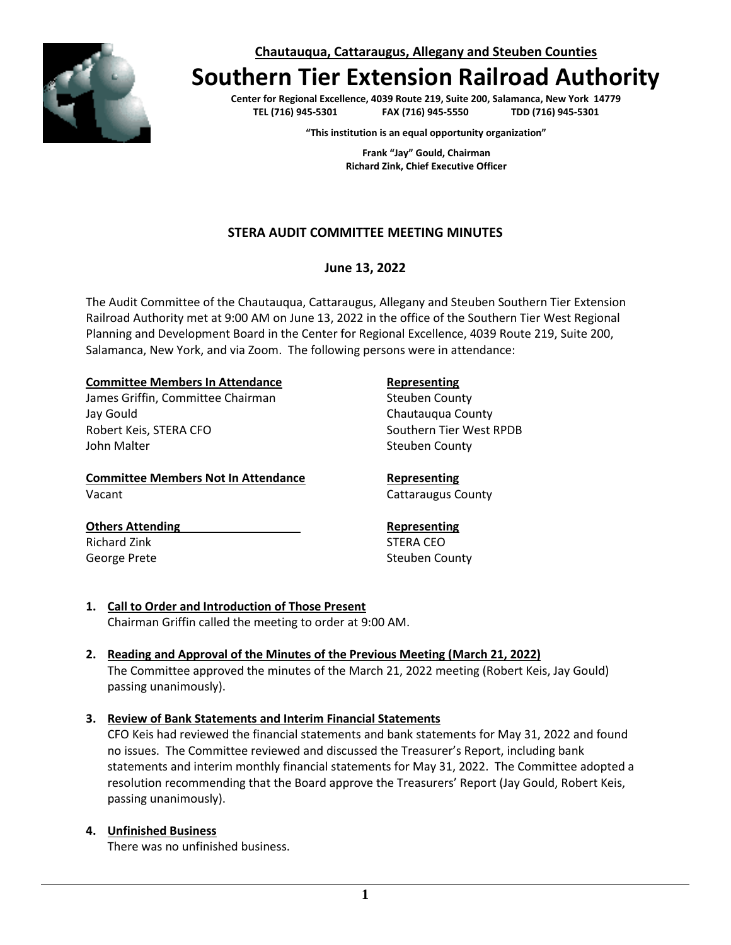**Chautauqua, Cattaraugus, Allegany and Steuben Counties**

# **Southern Tier Extension Railroad Authority**

**Center for Regional Excellence, 4039 Route 219, Suite 200, Salamanca, New York 14779 TEL (716) 945-5301 FAX (716) 945-5550 TDD (716) 945-5301**

**"This institution is an equal opportunity organization"**

**Frank "Jay" Gould, Chairman Richard Zink, Chief Executive Officer**

# **STERA AUDIT COMMITTEE MEETING MINUTES**

### **June 13, 2022**

The Audit Committee of the Chautauqua, Cattaraugus, Allegany and Steuben Southern Tier Extension Railroad Authority met at 9:00 AM on June 13, 2022 in the office of the Southern Tier West Regional Planning and Development Board in the Center for Regional Excellence, 4039 Route 219, Suite 200, Salamanca, New York, and via Zoom. The following persons were in attendance:

#### **Committee Members In Attendance <b>Representing**

James Griffin, Committee Chairman Steuben County Jay Gould Chautauqua County Robert Keis, STERA CFO Southern Tier West RPDB John Malter National County of the Steuben County

**Committee Members Not In Attendance <b>Representing** Vacant **Cattaraugus County Cattaraugus County** 

# **Others Attending Representing**

Richard Zink STERA CEO George Prete Steuben County

- **1. Call to Order and Introduction of Those Present**  Chairman Griffin called the meeting to order at 9:00 AM.
- **2. Reading and Approval of the Minutes of the Previous Meeting (March 21, 2022)** The Committee approved the minutes of the March 21, 2022 meeting (Robert Keis, Jay Gould) passing unanimously).

# **3. Review of Bank Statements and Interim Financial Statements**

CFO Keis had reviewed the financial statements and bank statements for May 31, 2022 and found no issues. The Committee reviewed and discussed the Treasurer's Report, including bank statements and interim monthly financial statements for May 31, 2022. The Committee adopted a resolution recommending that the Board approve the Treasurers' Report (Jay Gould, Robert Keis, passing unanimously).

### **4. Unfinished Business**

There was no unfinished business.